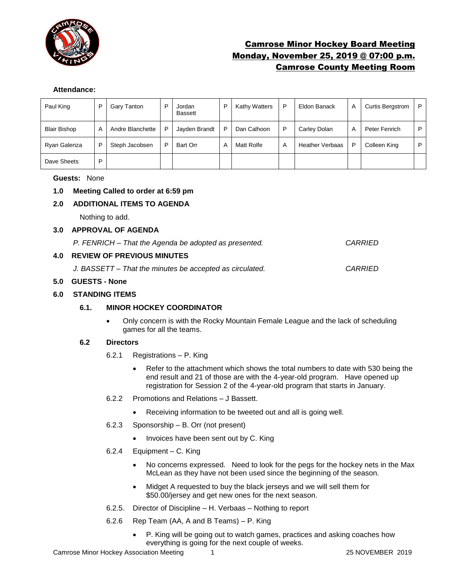

# Camrose Minor Hockey Board Meeting Monday, November 25, 2019 @ 07:00 p.m. Camrose County Meeting Room

## **Attendance:**

| Paul King           | P | Gary Tanton      | P | Jordan<br>Bassett | D | <b>Kathy Watters</b> | P | Eldon Banack           | A | <b>Curtis Bergstrom</b> | P. |
|---------------------|---|------------------|---|-------------------|---|----------------------|---|------------------------|---|-------------------------|----|
| <b>Blair Bishop</b> | A | Andre Blanchette | P | Jayden Brandt     | P | Dan Calhoon          | P | Carley Dolan           | Α | Peter Fenrich           | P. |
| Ryan Galenza        | P | Steph Jacobsen   | P | Bart Orr          | A | Matt Rolfe           | A | <b>Heather Verbaas</b> | P | Colleen King            | P  |
| Dave Sheets         | P |                  |   |                   |   |                      |   |                        |   |                         |    |

## **Guests:** None

# **1.0 Meeting Called to order at 6:59 pm**

# **2.0 ADDITIONAL ITEMS TO AGENDA**

Nothing to add.

#### **3.0 APPROVAL OF AGENDA**

*P. FENRICH – That the Agenda be adopted as presented. CARRIED*

# **4.0 REVIEW OF PREVIOUS MINUTES**

*J. BASSETT – That the minutes be accepted as circulated. CARRIED*

## **5.0 GUESTS - None**

## **6.0 STANDING ITEMS**

# **6.1. MINOR HOCKEY COORDINATOR**

• Only concern is with the Rocky Mountain Female League and the lack of scheduling games for all the teams.

#### **6.2 Directors**

- 6.2.1 Registrations P. King
	- Refer to the attachment which shows the total numbers to date with 530 being the end result and 21 of those are with the 4-year-old program. Have opened up registration for Session 2 of the 4-year-old program that starts in January.
- 6.2.2 Promotions and Relations J Bassett.
	- Receiving information to be tweeted out and all is going well.
- 6.2.3 Sponsorship B. Orr (not present)
	- Invoices have been sent out by C. King
- 6.2.4 Equipment C. King
	- No concerns expressed. Need to look for the pegs for the hockey nets in the Max McLean as they have not been used since the beginning of the season.
	- Midget A requested to buy the black jerseys and we will sell them for \$50.00/jersey and get new ones for the next season.
- 6.2.5. Director of Discipline H. Verbaas Nothing to report
- 6.2.6 Rep Team (AA, A and B Teams) P. King
	- P. King will be going out to watch games, practices and asking coaches how everything is going for the next couple of weeks.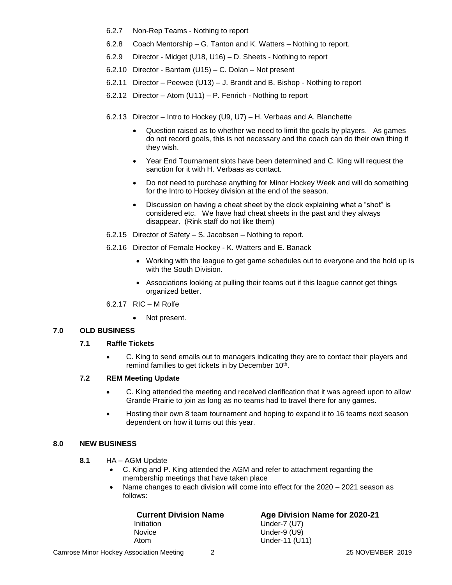- 6.2.7 Non-Rep Teams Nothing to report
- 6.2.8 Coach Mentorship G. Tanton and K. Watters Nothing to report.
- 6.2.9 Director Midget (U18, U16) D. Sheets Nothing to report
- 6.2.10 Director Bantam (U15) C. Dolan Not present
- 6.2.11 Director Peewee (U13) J. Brandt and B. Bishop Nothing to report
- 6.2.12 Director Atom (U11) P. Fenrich Nothing to report
- 6.2.13 Director Intro to Hockey (U9, U7) H. Verbaas and A. Blanchette
	- Question raised as to whether we need to limit the goals by players. As games do not record goals, this is not necessary and the coach can do their own thing if they wish.
	- Year End Tournament slots have been determined and C. King will request the sanction for it with H. Verbaas as contact.
	- Do not need to purchase anything for Minor Hockey Week and will do something for the Intro to Hockey division at the end of the season.
	- Discussion on having a cheat sheet by the clock explaining what a "shot" is considered etc. We have had cheat sheets in the past and they always disappear. (Rink staff do not like them)
- 6.2.15 Director of Safety S. Jacobsen Nothing to report.
- 6.2.16 Director of Female Hockey K. Watters and E. Banack
	- Working with the league to get game schedules out to everyone and the hold up is with the South Division.
	- Associations looking at pulling their teams out if this league cannot get things organized better.
- 6.2.17 RIC M Rolfe
	- Not present.

## **7.0 OLD BUSINESS**

### **7.1 Raffle Tickets**

• C. King to send emails out to managers indicating they are to contact their players and remind families to get tickets in by December 10<sup>th</sup>.

# **7.2 REM Meeting Update**

- C. King attended the meeting and received clarification that it was agreed upon to allow Grande Prairie to join as long as no teams had to travel there for any games.
- Hosting their own 8 team tournament and hoping to expand it to 16 teams next season dependent on how it turns out this year.

#### **8.0 NEW BUSINESS**

- **8.1** HA AGM Update
	- C. King and P. King attended the AGM and refer to attachment regarding the membership meetings that have taken place
	- Name changes to each division will come into effect for the 2020 2021 season as follows:

| <b>Current Division Name</b>             | Age Division Name for 2020-21 |
|------------------------------------------|-------------------------------|
| Initiation                               | Under- $7$ (U7)               |
| <b>Novice</b>                            | Under-9 $(U9)$                |
| Atom                                     | Under-11 (U11)                |
| Camrose Minor Hockey Association Meeting | 25 NOVEMBER 2019              |